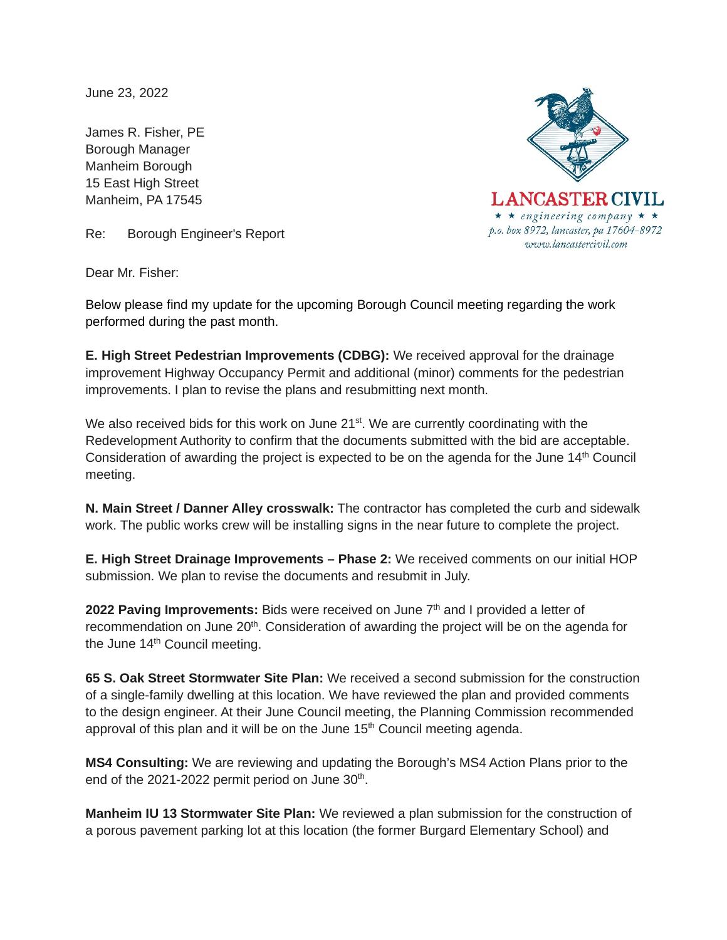June 23, 2022

James R. Fisher, PE Borough Manager Manheim Borough 15 East High Street Manheim, PA 17545



Re: Borough Engineer's Report

Dear Mr. Fisher:

Below please find my update for the upcoming Borough Council meeting regarding the work performed during the past month.

**E. High Street Pedestrian Improvements (CDBG):** We received approval for the drainage improvement Highway Occupancy Permit and additional (minor) comments for the pedestrian improvements. I plan to revise the plans and resubmitting next month.

We also received bids for this work on June  $21^{st}$ . We are currently coordinating with the Redevelopment Authority to confirm that the documents submitted with the bid are acceptable. Consideration of awarding the project is expected to be on the agenda for the June 14<sup>th</sup> Council meeting.

**N. Main Street / Danner Alley crosswalk:** The contractor has completed the curb and sidewalk work. The public works crew will be installing signs in the near future to complete the project.

**E. High Street Drainage Improvements – Phase 2:** We received comments on our initial HOP submission. We plan to revise the documents and resubmit in July.

2022 Paving Improvements: Bids were received on June 7<sup>th</sup> and I provided a letter of recommendation on June 20<sup>th</sup>. Consideration of awarding the project will be on the agenda for the June 14<sup>th</sup> Council meeting.

**65 S. Oak Street Stormwater Site Plan:** We received a second submission for the construction of a single-family dwelling at this location. We have reviewed the plan and provided comments to the design engineer. At their June Council meeting, the Planning Commission recommended approval of this plan and it will be on the June  $15<sup>th</sup>$  Council meeting agenda.

**MS4 Consulting:** We are reviewing and updating the Borough's MS4 Action Plans prior to the end of the  $2021-2022$  permit period on June  $30<sup>th</sup>$ .

**Manheim IU 13 Stormwater Site Plan:** We reviewed a plan submission for the construction of a porous pavement parking lot at this location (the former Burgard Elementary School) and